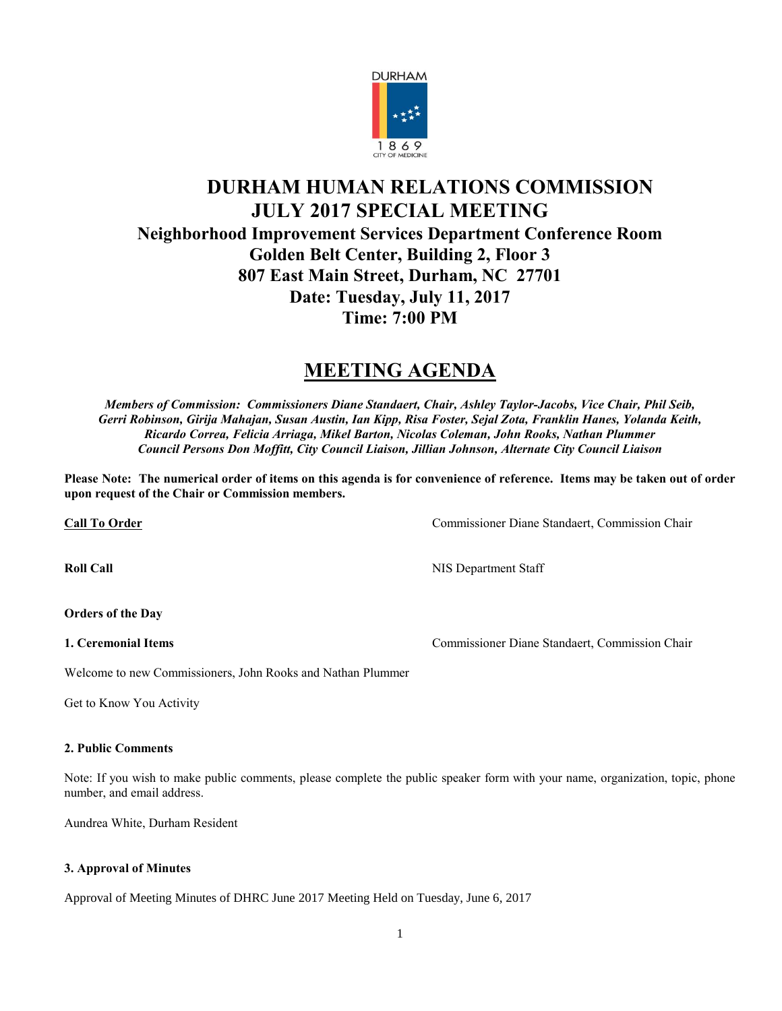

## **DURHAM HUMAN RELATIONS COMMISSION JULY 2017 SPECIAL MEETING Neighborhood Improvement Services Department Conference Room Golden Belt Center, Building 2, Floor 3 807 East Main Street, Durham, NC 27701 Date: Tuesday, July 11, 2017 Time: 7:00 PM**

# **MEETING AGENDA**

*Members of Commission: Commissioners Diane Standaert, Chair, Ashley Taylor-Jacobs, Vice Chair, Phil Seib, Gerri Robinson, Girija Mahajan, Susan Austin, Ian Kipp, Risa Foster, Sejal Zota, Franklin Hanes, Yolanda Keith, Ricardo Correa, Felicia Arriaga, Mikel Barton, Nicolas Coleman, John Rooks, Nathan Plummer Council Persons Don Moffitt, City Council Liaison, Jillian Johnson, Alternate City Council Liaison*

**Please Note: The numerical order of items on this agenda is for convenience of reference. Items may be taken out of order upon request of the Chair or Commission members.**

**Call To Order** Commissioner Diane Standaert, Commission Chair

**Roll Call** NIS Department Staff

#### **Orders of the Day**

**1. Ceremonial Items** Commissioner Diane Standaert, Commission Chair

Welcome to new Commissioners, John Rooks and Nathan Plummer

Get to Know You Activity

#### **2. Public Comments**

Note: If you wish to make public comments, please complete the public speaker form with your name, organization, topic, phone number, and email address.

Aundrea White, Durham Resident

#### **3. Approval of Minutes**

Approval of Meeting Minutes of DHRC June 2017 Meeting Held on Tuesday, June 6, 2017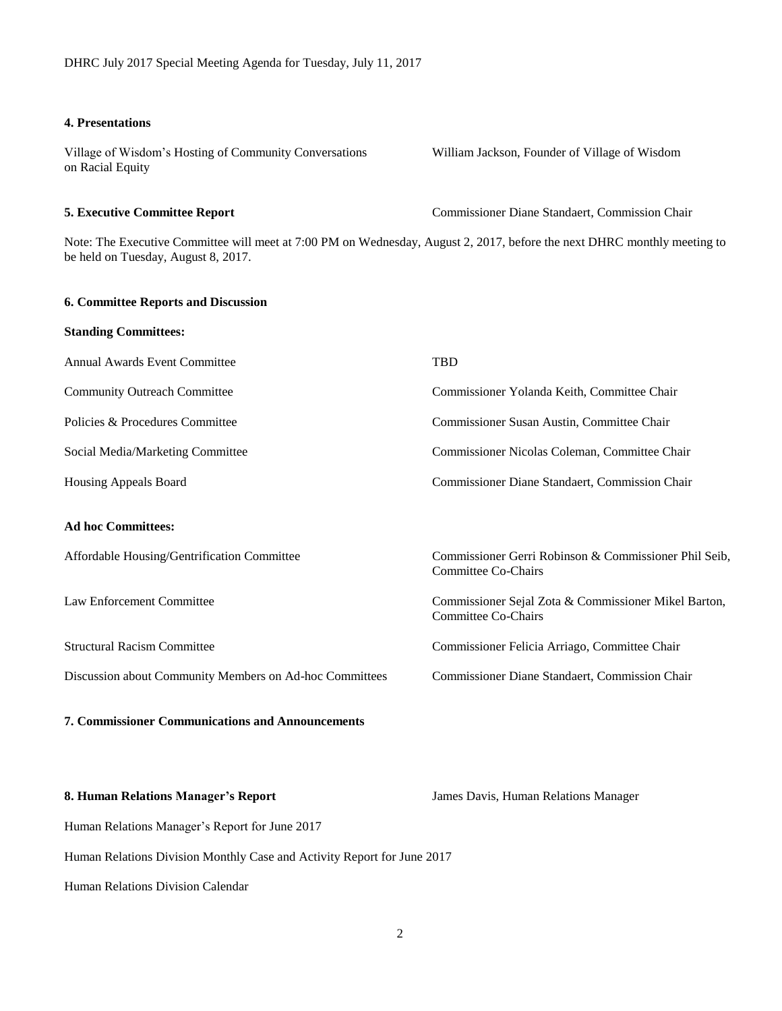#### **4. Presentations**

Village of Wisdom's Hosting of Community Conversations William Jackson, Founder of Village of Wisdom on Racial Equity

#### **5. Executive Committee Report** Commissioner Diane Standaert, Commission Chair

Note: The Executive Committee will meet at 7:00 PM on Wednesday, August 2, 2017, before the next DHRC monthly meeting to be held on Tuesday, August 8, 2017.

#### **6. Committee Reports and Discussion**

| <b>Standing Committees:</b>                             |                                                                                    |
|---------------------------------------------------------|------------------------------------------------------------------------------------|
| <b>Annual Awards Event Committee</b>                    | <b>TBD</b>                                                                         |
| <b>Community Outreach Committee</b>                     | Commissioner Yolanda Keith, Committee Chair                                        |
| Policies & Procedures Committee                         | Commissioner Susan Austin, Committee Chair                                         |
| Social Media/Marketing Committee                        | Commissioner Nicolas Coleman, Committee Chair                                      |
| Housing Appeals Board                                   | Commissioner Diane Standaert, Commission Chair                                     |
| <b>Ad hoc Committees:</b>                               |                                                                                    |
| Affordable Housing/Gentrification Committee             | Commissioner Gerri Robinson & Commissioner Phil Seib,<br>Committee Co-Chairs       |
| Law Enforcement Committee                               | Commissioner Sejal Zota & Commissioner Mikel Barton,<br><b>Committee Co-Chairs</b> |
| <b>Structural Racism Committee</b>                      | Commissioner Felicia Arriago, Committee Chair                                      |
| Discussion about Community Members on Ad-hoc Committees | Commissioner Diane Standaert, Commission Chair                                     |
| <b>7. Commissioner Communications and Announcements</b> |                                                                                    |

8. **Human Relations Manager's Report** James Davis, Human Relations Manager

Human Relations Manager's Report for June 2017

Human Relations Division Monthly Case and Activity Report for June 2017

Human Relations Division Calendar